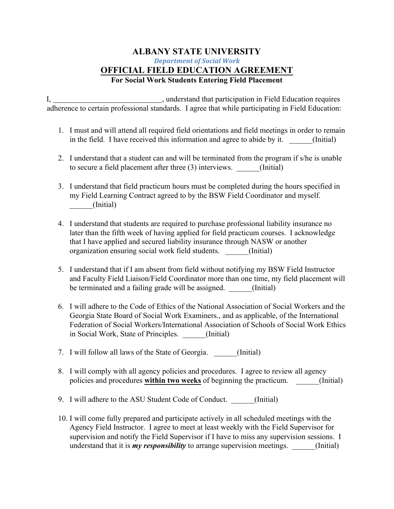## **ALBANY STATE UNIVERSITY** *Department of Social Work* **OFFICIAL FIELD EDUCATION AGREEMENT For Social Work Students Entering Field Placement**

I, , understand that participation in Field Education requires adherence to certain professional standards. I agree that while participating in Field Education:

- 1. I must and will attend all required field orientations and field meetings in order to remain in the field. I have received this information and agree to abide by it. (Initial)
- 2. I understand that a student can and will be terminated from the program if s/he is unable to secure a field placement after three (3) interviews. \_\_\_\_\_\_(Initial)
- 3. I understand that field practicum hours must be completed during the hours specified in my Field Learning Contract agreed to by the BSW Field Coordinator and myself. \_\_\_\_\_\_(Initial)
- 4. I understand that students are required to purchase professional liability insurance no later than the fifth week of having applied for field practicum courses. I acknowledge that I have applied and secured liability insurance through NASW or another organization ensuring social work field students. \_\_\_\_\_\_(Initial)
- 5. I understand that if I am absent from field without notifying my BSW Field Instructor and Faculty Field Liaison/Field Coordinator more than one time, my field placement will be terminated and a failing grade will be assigned. (Initial)
- 6. I will adhere to the Code of Ethics of the National Association of Social Workers and the Georgia State Board of Social Work Examiners., and as applicable, of the International Federation of Social Workers/International Association of Schools of Social Work Ethics in Social Work, State of Principles. (Initial)
- 7. I will follow all laws of the State of Georgia. (Initial)
- 8. I will comply with all agency policies and procedures. I agree to review all agency policies and procedures **within two weeks** of beginning the practicum.  $\qquad \qquad$  (Initial)
- 9. I will adhere to the ASU Student Code of Conduct. \_\_\_\_\_\_(Initial)
- 10. I will come fully prepared and participate actively in all scheduled meetings with the Agency Field Instructor. I agree to meet at least weekly with the Field Supervisor for supervision and notify the Field Supervisor if I have to miss any supervision sessions. I understand that it is *my responsibility* to arrange supervision meetings. (Initial)